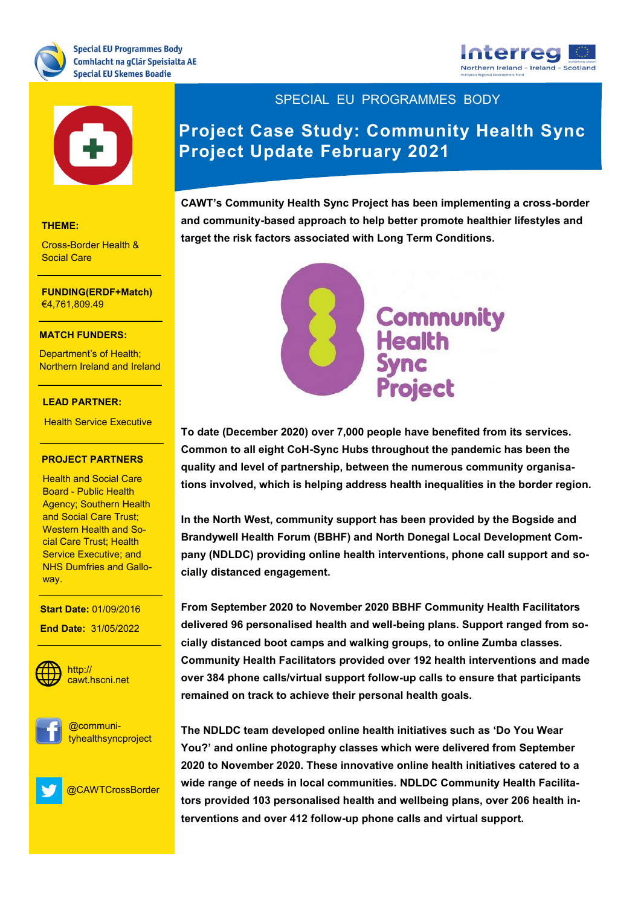





#### **THEME:**

Cross-Border Health & Social Care

### **THEME:** €4,761,809.49 **FUNDING(ERDF+Match)**

#### Research and Innovation **MATCH FUNDERS:**

<mark>Department's of Health;</mark> Northern Ireland and Ireland

#### **LEAD PARTNER:**

**Health Service Executive** 

#### **PROJECT PARTNERS**

**Health and Social Care** Board Trashe Hoarth<br>Agency; Southern Health and Social Care Trust;<br>… <mark>cial Care Trust; Health</mark> NHS Dumfries and Gallo-Board - Public Health Western Health and So-Service Executive; and way.

**PROJECT CONTACT: Start Date:** 01/09/2016

Keith.Thornbury@dkit.ie **End Date:** 31/05/2022



**WEBSITE:** cawt.hscni.net http://





@CAWTCrossBorder

SPECIAL EU PROGRAMMES BODY

# **Project Case Study: Community Health Sync Project Update February 2021**

**CAWT's Community Health Sync Project has been implementing a cross-border and community-based approach to help better promote healthier lifestyles and target the risk factors associated with Long Term Conditions.** 



**To date (December 2020) over 7,000 people have benefited from its services. Common to all eight CoH-Sync Hubs throughout the pandemic has been the quality and level of partnership, between the numerous community organisations involved, which is helping address health inequalities in the border region.** 

**In the North West, community support has been provided by the Bogside and Brandywell Health Forum (BBHF) and North Donegal Local Development Company (NDLDC) providing online health interventions, phone call support and socially distanced engagement.**

**From September 2020 to November 2020 BBHF Community Health Facilitators delivered 96 personalised health and well-being plans. Support ranged from socially distanced boot camps and walking groups, to online Zumba classes. Community Health Facilitators provided over 192 health interventions and made over 384 phone calls/virtual support follow-up calls to ensure that participants remained on track to achieve their personal health goals.** 

**The NDLDC team developed online health initiatives such as 'Do You Wear You?' and online photography classes which were delivered from September 2020 to November 2020. These innovative online health initiatives catered to a wide range of needs in local communities. NDLDC Community Health Facilitators provided 103 personalised health and wellbeing plans, over 206 health interventions and over 412 follow-up phone calls and virtual support.**